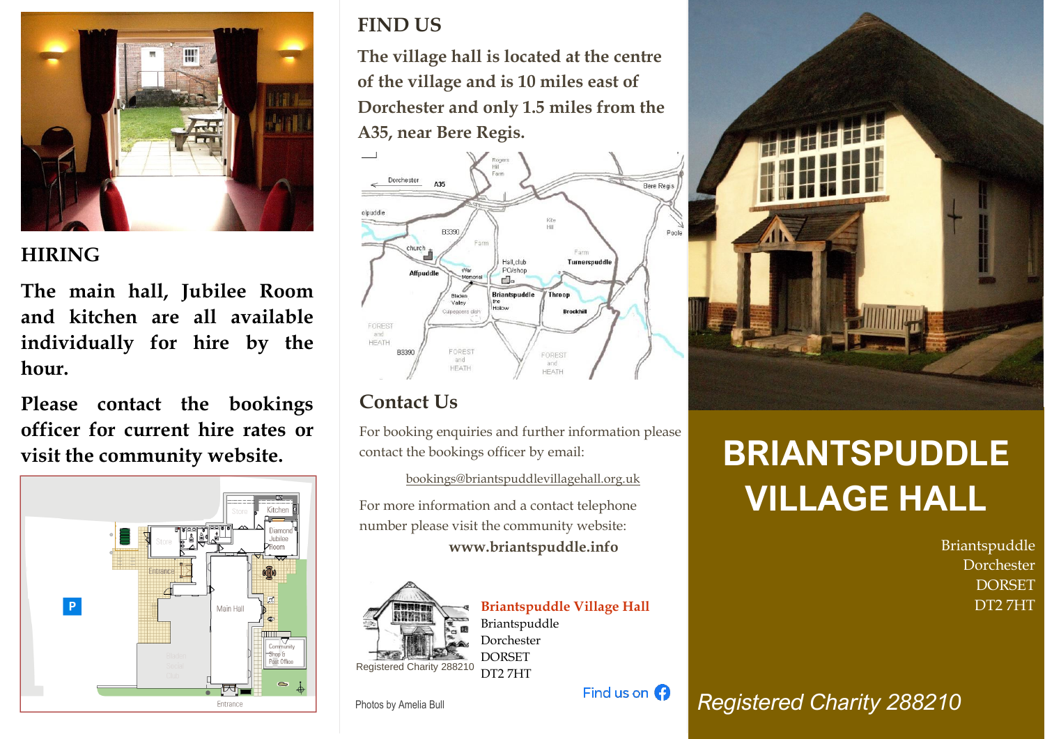

### **HIRING**

**The main hall, Jubilee Room and kitchen are all available individually for hire by the hour.**

**Please contact the bookings officer for current hire rates or visit the community website.**



## **FIND US**

**The village hall is located at the centre of the village and is 10 miles east of Dorchester and only 1.5 miles from the A35, near Bere Regis.**



## **Contact Us**

For booking enquiries and further information please contact the bookings officer by email:

bookings@briantspuddlevillagehall.org.uk

For more information and a contact telephone number please visit the community website:

**www.briantspuddle.info**



**Briantspuddle Village Hall** Briantspuddle Dorchester **DORSET** DT2 7HT

Find us on  $\Omega$ 

Photos by Amelia Bull



# **BRIANTSPUDDLE VILLAGE HALL**

Briantspuddle Dorchester **DORSET** DT2 7HT

*Registered Charity 288210*